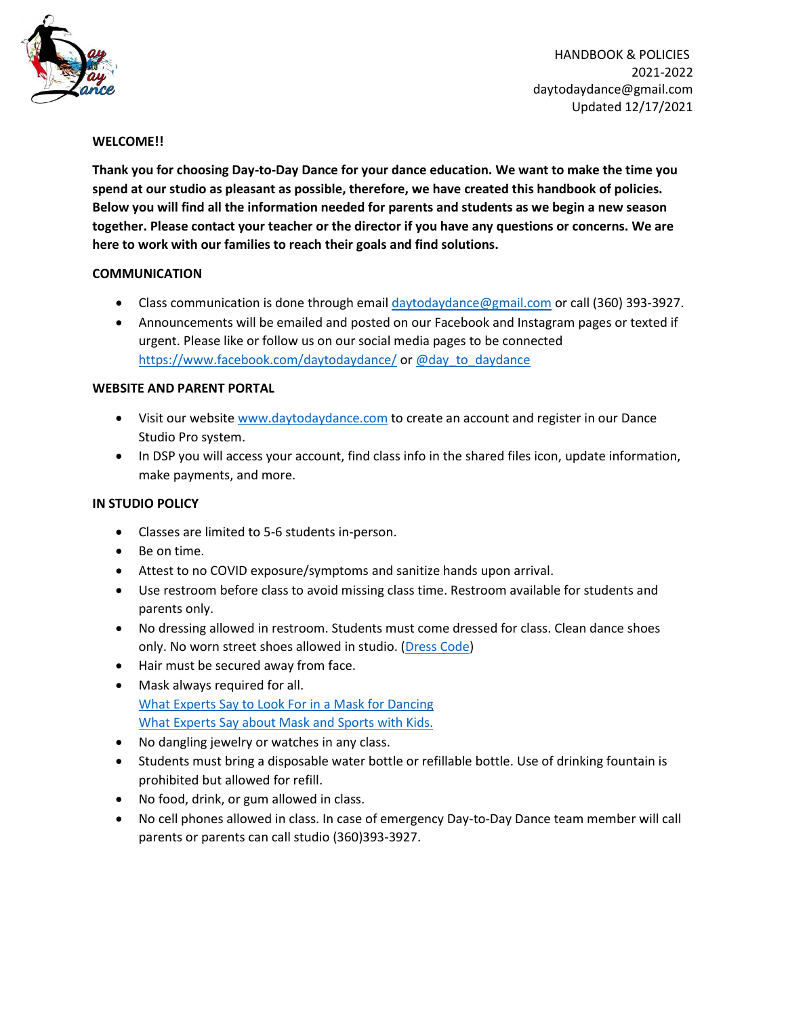

HANDBOOK & POLICIES 2021-2022 daytodaydance@gmail.com Updated 12/17/2021

### **WELCOME!!**

**Thank you for choosing Day-to-Day Dance for your dance education. We want to make the time you spend at our studio as pleasant as possible, therefore, we have created this handbook of policies. Below you will find all the information needed for parents and students as we begin a new season together. Please contact your teacher or the director if you have any questions or concerns. We are here to work with our families to reach their goals and find solutions.** 

### **COMMUNICATION**

- Class communication is done through email [daytodaydance@gmail.com](mailto:daytodaydance@gmail.com) or call (360) 393-3927.
- Announcements will be emailed and posted on our Facebook and Instagram pages or texted if urgent. Please like or follow us on our social media pages to be connected <https://www.facebook.com/daytodaydance/> or [@day\\_to\\_daydance](https://www.instagram.com/day_to_daydance/?hl=en)

## **WEBSITE AND PARENT PORTAL**

- Visit our website [www.daytodaydance.com](http://www.daytodaydance.com/) to create an account and register in our Dance Studio Pro system.
- In DSP you will access your account, find class info in the shared files icon, update information, make payments, and more.

# **IN STUDIO POLICY**

- Classes are limited to 5-6 students in-person.
- Be on time.
- Attest to no COVID exposure/symptoms and sanitize hands upon arrival.
- Use restroom before class to avoid missing class time. Restroom available for students and parents only.
- No dressing allowed in restroom. Students must come dressed for class. Clean dance shoes only. No worn street shoes allowed in studio. [\(Dress](https://www.daytodaydance.com/dresscode) Code)
- Hair must be secured away from face.
- Mask always required for all. What Experts Say to Look For in a Mask for [Dancing](https://www.dancemagazine.com/workout-mask-2646401321.html?rebelltitem=3#rebelltitem3) What [Experts](https://www.healthychildren.org/English/health-issues/conditions/COVID-19/Pages/Why-Cloth-Face-Coverings-are-Needed-in-Youth-Sports-During-COVID-19.aspx) Say about Mask and Sports with Kids.
- No dangling jewelry or watches in any class.
- Students must bring a disposable water bottle or refillable bottle. Use of drinking fountain is prohibited but allowed for refill.
- No food, drink, or gum allowed in class.
- No cell phones allowed in class. In case of emergency Day-to-Day Dance team member will call parents or parents can call studio (360)393-3927.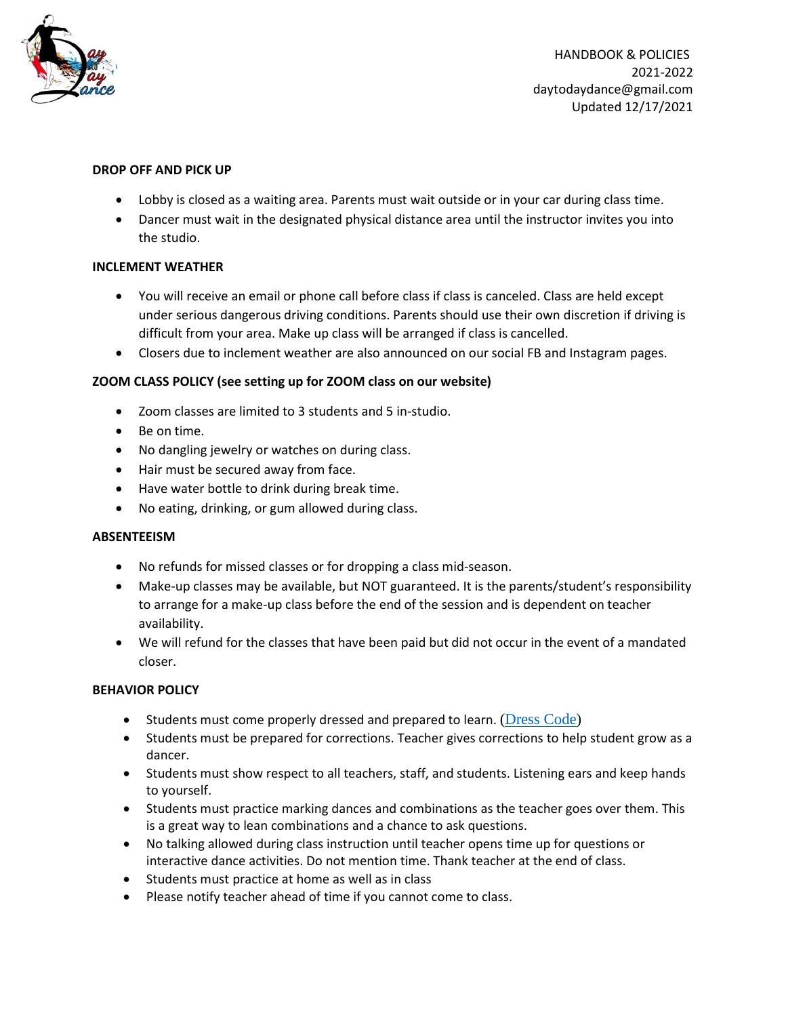

HANDBOOK & POLICIES 2021-2022 daytodaydance@gmail.com Updated 12/17/2021

### **DROP OFF AND PICK UP**

- Lobby is closed as a waiting area. Parents must wait outside or in your car during class time.
- Dancer must wait in the designated physical distance area until the instructor invites you into the studio.

### **INCLEMENT WEATHER**

- You will receive an email or phone call before class if class is canceled. Class are held except under serious dangerous driving conditions. Parents should use their own discretion if driving is difficult from your area. Make up class will be arranged if class is cancelled.
- Closers due to inclement weather are also announced on our social FB and Instagram pages.

### **ZOOM CLASS POLICY (see setting up for ZOOM class on our website)**

- Zoom classes are limited to 3 students and 5 in-studio.
- Be on time.
- No dangling jewelry or watches on during class.
- Hair must be secured away from face.
- Have water bottle to drink during break time.
- No eating, drinking, or gum allowed during class.

#### **ABSENTEEISM**

- No refunds for missed classes or for dropping a class mid-season.
- Make-up classes may be available, but NOT guaranteed. It is the parents/student's responsibility to arrange for a make-up class before the end of the session and is dependent on teacher availability.
- We will refund for the classes that have been paid but did not occur in the event of a mandated closer.

#### **BEHAVIOR POLICY**

- Students must come properly dressed and prepared to learn. [\(Dress](https://www.daytodaydance.com/dresscode) Code)
- Students must be prepared for corrections. Teacher gives corrections to help student grow as a dancer.
- Students must show respect to all teachers, staff, and students. Listening ears and keep hands to yourself.
- Students must practice marking dances and combinations as the teacher goes over them. This is a great way to lean combinations and a chance to ask questions.
- No talking allowed during class instruction until teacher opens time up for questions or interactive dance activities. Do not mention time. Thank teacher at the end of class.
- Students must practice at home as well as in class
- Please notify teacher ahead of time if you cannot come to class.